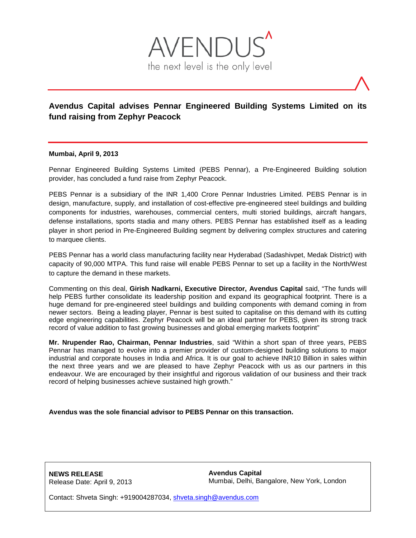

## **Avendus Capital advises Pennar Engineered Building Systems Limited on its fund raising from Zephyr Peacock**

## **Mumbai, April 9, 2013**

Pennar Engineered Building Systems Limited (PEBS Pennar), a Pre-Engineered Building solution provider, has concluded a fund raise from Zephyr Peacock.

PEBS Pennar is a subsidiary of the INR 1,400 Crore Pennar Industries Limited. PEBS Pennar is in design, manufacture, supply, and installation of cost-effective pre-engineered steel buildings and building components for industries, warehouses, commercial centers, multi storied buildings, aircraft hangars, defense installations, sports stadia and many others. PEBS Pennar has established itself as a leading player in short period in Pre-Engineered Building segment by delivering complex structures and catering to marquee clients.

PEBS Pennar has a world class manufacturing facility near Hyderabad (Sadashivpet, Medak District) with capacity of 90,000 MTPA. This fund raise will enable PEBS Pennar to set up a facility in the North/West to capture the demand in these markets.

Commenting on this deal, **Girish Nadkarni, Executive Director, Avendus Capital** said, "The funds will help PEBS further consolidate its leadership position and expand its geographical footprint. There is a huge demand for pre-engineered steel buildings and building components with demand coming in from newer sectors. Being a leading player, Pennar is best suited to capitalise on this demand with its cutting edge engineering capabilities. Zephyr Peacock will be an ideal partner for PEBS, given its strong track record of value addition to fast growing businesses and global emerging markets footprint"

**Mr. Nrupender Rao, Chairman, Pennar Industries**, said "Within a short span of three years, PEBS Pennar has managed to evolve into a premier provider of custom‐designed building solutions to major industrial and corporate houses in India and Africa. It is our goal to achieve INR10 Billion in sales within the next three years and we are pleased to have Zephyr Peacock with us as our partners in this endeavour. We are encouraged by their insightful and rigorous validation of our business and their track record of helping businesses achieve sustained high growth."

**Avendus was the sole financial advisor to PEBS Pennar on this transaction.**

**NEWS RELEASE** Release Date: April 9, 2013 **Avendus Capital** Mumbai, Delhi, Bangalore, New York, London

Contact: Shveta Singh: +919004287034, [shveta.singh@avendus.com](mailto:shveta.singh@avendus.com)